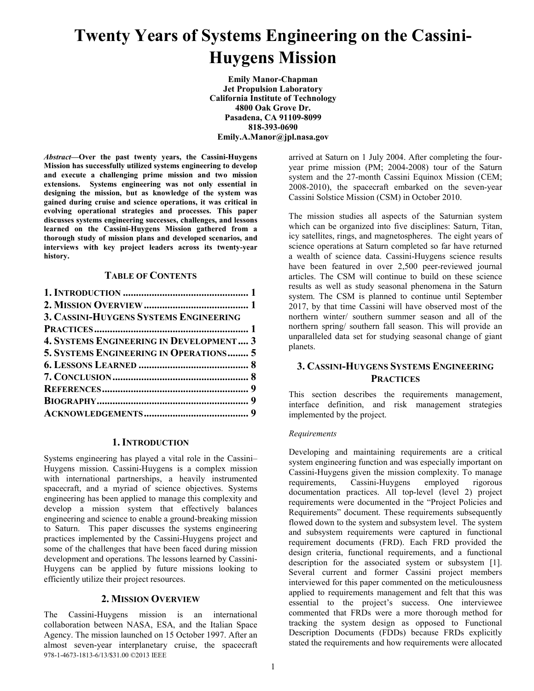# **Twenty Years of Systems Engineering on the Cassini-Huygens Mission**

**Emily Manor-Chapman Jet Propulsion Laboratory California Institute of Technology 4800 Oak Grove Dr. Pasadena, CA 91109-8099 818-393-0690 Emily.A.Manor@jpl.nasa.gov**

*Abstract***—Over the past twenty years, the Cassini-Huygens Mission has successfully utilized systems engineering to develop and execute a challenging prime mission and two mission extensions. Systems engineering was not only essential in designing the mission, but as knowledge of the system was gained during cruise and science operations, it was critical in evolving operational strategies and processes. This paper discusses systems engineering successes, challenges, and lessons learned on the Cassini-Huygens Mission gathered from a thorough study of mission plans and developed scenarios, and interviews with key project leaders across its twenty-year history.**

## **TABLE OF CONTENTS**

| 3. CASSINI-HUYGENS SYSTEMS ENGINEERING         |  |
|------------------------------------------------|--|
|                                                |  |
| <b>4. SYSTEMS ENGINEERING IN DEVELOPMENT 3</b> |  |
| 5. SYSTEMS ENGINEERING IN OPERATIONS 5         |  |
|                                                |  |
|                                                |  |
|                                                |  |
|                                                |  |
|                                                |  |
|                                                |  |

### **1. INTRODUCTION**

<span id="page-0-0"></span>Systems engineering has played a vital role in the Cassini– Huygens mission. Cassini-Huygens is a complex mission with international partnerships, a heavily instrumented spacecraft, and a myriad of science objectives. Systems engineering has been applied to manage this complexity and develop a mission system that effectively balances engineering and science to enable a ground-breaking mission to Saturn. This paper discusses the systems engineering practices implemented by the Cassini-Huygens project and some of the challenges that have been faced during mission development and operations. The lessons learned by Cassini-Huygens can be applied by future missions looking to efficiently utilize their project resources.

#### **2. MISSION OVERVIEW**

<span id="page-0-1"></span>The Cassini-Huygens mission is an international collaboration between NASA, ESA, and the Italian Space Agency. The mission launched on 15 October 1997. After an almost seven-year interplanetary cruise, the spacecraft 978-1-4673-1813-6/13/\$31.00 ©2013 IEEE

arrived at Saturn on 1 July 2004. After completing the fouryear prime mission (PM; 2004-2008) tour of the Saturn system and the 27-month Cassini Equinox Mission (CEM; 2008-2010), the spacecraft embarked on the seven-year Cassini Solstice Mission (CSM) in October 2010.

The mission studies all aspects of the Saturnian system which can be organized into five disciplines: Saturn, Titan, icy satellites, rings, and magnetospheres. The eight years of science operations at Saturn completed so far have returned a wealth of science data. Cassini-Huygens science results have been featured in over 2,500 peer-reviewed journal articles. The CSM will continue to build on these science results as well as study seasonal phenomena in the Saturn system. The CSM is planned to continue until September 2017, by that time Cassini will have observed most of the northern winter/ southern summer season and all of the northern spring/ southern fall season. This will provide an unparalleled data set for studying seasonal change of giant planets.

# <span id="page-0-2"></span>**3. CASSINI-HUYGENS SYSTEMS ENGINEERING PRACTICES**

This section describes the requirements management, interface definition, and risk management strategies implemented by the project.

#### *Requirements*

Developing and maintaining requirements are a critical system engineering function and was especially important on Cassini-Huygens given the mission complexity. To manage requirements, Cassini-Huygens employed rigorous documentation practices. All top-level (level 2) project requirements were documented in the "Project Policies and Requirements" document. These requirements subsequently flowed down to the system and subsystem level. The system and subsystem requirements were captured in functional requirement documents (FRD). Each FRD provided the design criteria, functional requirements, and a functional description for the associated system or subsystem [1]. Several current and former Cassini project members interviewed for this paper commented on the meticulousness applied to requirements management and felt that this was essential to the project's success. One interviewee commented that FRDs were a more thorough method for tracking the system design as opposed to Functional Description Documents (FDDs) because FRDs explicitly stated the requirements and how requirements were allocated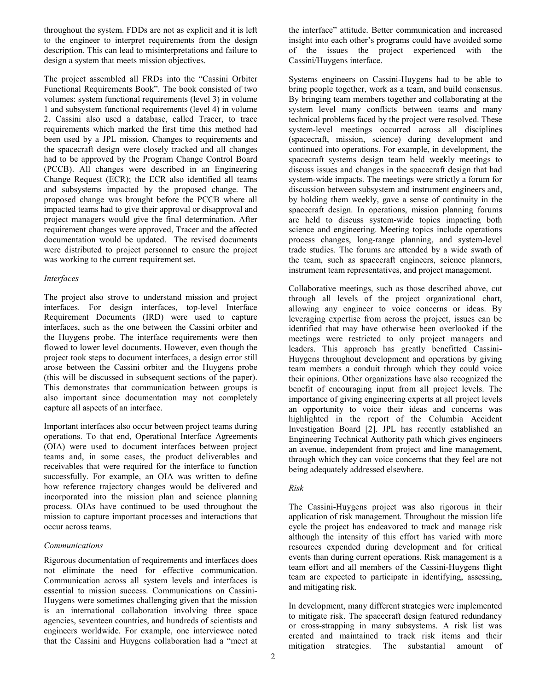throughout the system. FDDs are not as explicit and it is left to the engineer to interpret requirements from the design description. This can lead to misinterpretations and failure to design a system that meets mission objectives.

The project assembled all FRDs into the "Cassini Orbiter Functional Requirements Book". The book consisted of two volumes: system functional requirements (level 3) in volume 1 and subsystem functional requirements (level 4) in volume 2. Cassini also used a database, called Tracer, to trace requirements which marked the first time this method had been used by a JPL mission. Changes to requirements and the spacecraft design were closely tracked and all changes had to be approved by the Program Change Control Board (PCCB). All changes were described in an Engineering Change Request (ECR); the ECR also identified all teams and subsystems impacted by the proposed change. The proposed change was brought before the PCCB where all impacted teams had to give their approval or disapproval and project managers would give the final determination. After requirement changes were approved, Tracer and the affected documentation would be updated. The revised documents were distributed to project personnel to ensure the project was working to the current requirement set.

## *Interfaces*

The project also strove to understand mission and project interfaces. For design interfaces, top-level Interface Requirement Documents (IRD) were used to capture interfaces, such as the one between the Cassini orbiter and the Huygens probe. The interface requirements were then flowed to lower level documents. However, even though the project took steps to document interfaces, a design error still arose between the Cassini orbiter and the Huygens probe (this will be discussed in subsequent sections of the paper). This demonstrates that communication between groups is also important since documentation may not completely capture all aspects of an interface.

Important interfaces also occur between project teams during operations. To that end, Operational Interface Agreements (OIA) were used to document interfaces between project teams and, in some cases, the product deliverables and receivables that were required for the interface to function successfully. For example, an OIA was written to define how reference trajectory changes would be delivered and incorporated into the mission plan and science planning process. OIAs have continued to be used throughout the mission to capture important processes and interactions that occur across teams.

#### *Communications*

Rigorous documentation of requirements and interfaces does not eliminate the need for effective communication. Communication across all system levels and interfaces is essential to mission success. Communications on Cassini-Huygens were sometimes challenging given that the mission is an international collaboration involving three space agencies, seventeen countries, and hundreds of scientists and engineers worldwide. For example, one interviewee noted that the Cassini and Huygens collaboration had a "meet at the interface" attitude. Better communication and increased insight into each other's programs could have avoided some of the issues the project experienced with the Cassini/Huygens interface.

Systems engineers on Cassini-Huygens had to be able to bring people together, work as a team, and build consensus. By bringing team members together and collaborating at the system level many conflicts between teams and many technical problems faced by the project were resolved. These system-level meetings occurred across all disciplines (spacecraft, mission, science) during development and continued into operations. For example, in development, the spacecraft systems design team held weekly meetings to discuss issues and changes in the spacecraft design that had system-wide impacts. The meetings were strictly a forum for discussion between subsystem and instrument engineers and, by holding them weekly, gave a sense of continuity in the spacecraft design. In operations, mission planning forums are held to discuss system-wide topics impacting both science and engineering. Meeting topics include operations process changes, long-range planning, and system-level trade studies. The forums are attended by a wide swath of the team, such as spacecraft engineers, science planners, instrument team representatives, and project management.

Collaborative meetings, such as those described above, cut through all levels of the project organizational chart, allowing any engineer to voice concerns or ideas. By leveraging expertise from across the project, issues can be identified that may have otherwise been overlooked if the meetings were restricted to only project managers and leaders. This approach has greatly benefitted Cassini-Huygens throughout development and operations by giving team members a conduit through which they could voice their opinions. Other organizations have also recognized the benefit of encouraging input from all project levels. The importance of giving engineering experts at all project levels an opportunity to voice their ideas and concerns was highlighted in the report of the Columbia Accident Investigation Board [2]. JPL has recently established an Engineering Technical Authority path which gives engineers an avenue, independent from project and line management, through which they can voice concerns that they feel are not being adequately addressed elsewhere.

## *Risk*

The Cassini-Huygens project was also rigorous in their application of risk management. Throughout the mission life cycle the project has endeavored to track and manage risk although the intensity of this effort has varied with more resources expended during development and for critical events than during current operations. Risk management is a team effort and all members of the Cassini-Huygens flight team are expected to participate in identifying, assessing, and mitigating risk.

In development, many different strategies were implemented to mitigate risk. The spacecraft design featured redundancy or cross-strapping in many subsystems. A risk list was created and maintained to track risk items and their mitigation strategies. The substantial amount of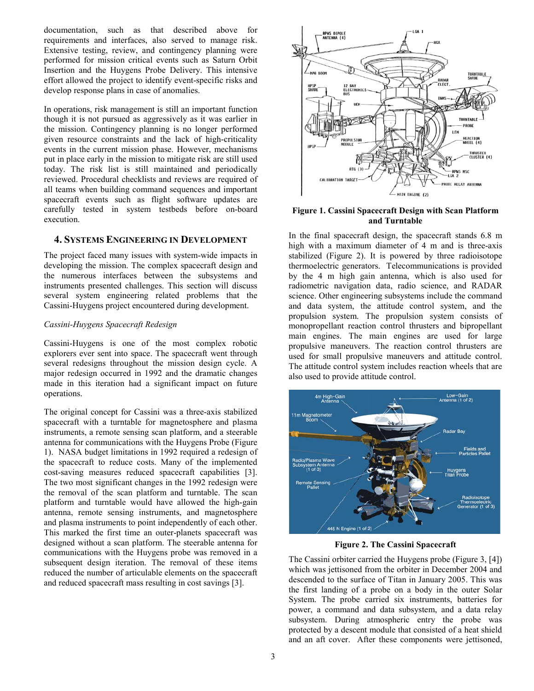documentation, such as that described above for requirements and interfaces, also served to manage risk. Extensive testing, review, and contingency planning were performed for mission critical events such as Saturn Orbit Insertion and the Huygens Probe Delivery. This intensive effort allowed the project to identify event-specific risks and develop response plans in case of anomalies.

In operations, risk management is still an important function though it is not pursued as aggressively as it was earlier in the mission. Contingency planning is no longer performed given resource constraints and the lack of high-criticality events in the current mission phase. However, mechanisms put in place early in the mission to mitigate risk are still used today. The risk list is still maintained and periodically reviewed. Procedural checklists and reviews are required of all teams when building command sequences and important spacecraft events such as flight software updates are carefully tested in system testbeds before on-board execution.

# <span id="page-2-0"></span>**4. SYSTEMS ENGINEERING IN DEVELOPMENT**

The project faced many issues with system-wide impacts in developing the mission. The complex spacecraft design and the numerous interfaces between the subsystems and instruments presented challenges. This section will discuss several system engineering related problems that the Cassini-Huygens project encountered during development.

#### *Cassini-Huygens Spacecraft Redesign*

Cassini-Huygens is one of the most complex robotic explorers ever sent into space. The spacecraft went through several redesigns throughout the mission design cycle. A major redesign occurred in 1992 and the dramatic changes made in this iteration had a significant impact on future operations.

The original concept for Cassini was a three-axis stabilized spacecraft with a turntable for magnetosphere and plasma instruments, a remote sensing scan platform, and a steerable antenna for communications with the Huygens Probe [\(Figure](#page-2-1)  [1\)](#page-2-1). NASA budget limitations in 1992 required a redesign of the spacecraft to reduce costs. Many of the implemented cost-saving measures reduced spacecraft capabilities [3]. The two most significant changes in the 1992 redesign were the removal of the scan platform and turntable. The scan platform and turntable would have allowed the high-gain antenna, remote sensing instruments, and magnetosphere and plasma instruments to point independently of each other. This marked the first time an outer-planets spacecraft was designed without a scan platform. The steerable antenna for communications with the Huygens probe was removed in a subsequent design iteration. The removal of these items reduced the number of articulable elements on the spacecraft and reduced spacecraft mass resulting in cost savings [3].



## <span id="page-2-1"></span>**Figure 1. Cassini Spacecraft Design with Scan Platform and Turntable**

In the final spacecraft design, the spacecraft stands 6.8 m high with a maximum diameter of 4 m and is three-axis stabilized [\(Figure 2\)](#page-2-2). It is powered by three radioisotope thermoelectric generators. Telecommunications is provided by the 4 m high gain antenna, which is also used for radiometric navigation data, radio science, and RADAR science. Other engineering subsystems include the command and data system, the attitude control system, and the propulsion system. The propulsion system consists of monopropellant reaction control thrusters and bipropellant main engines. The main engines are used for large propulsive maneuvers. The reaction control thrusters are used for small propulsive maneuvers and attitude control. The attitude control system includes reaction wheels that are also used to provide attitude control.



**Figure 2. The Cassini Spacecraft**

<span id="page-2-2"></span>The Cassini orbiter carried the Huygens probe [\(Figure 3,](#page-3-0) [4]) which was jettisoned from the orbiter in December 2004 and descended to the surface of Titan in January 2005. This was the first landing of a probe on a body in the outer Solar System. The probe carried six instruments, batteries for power, a command and data subsystem, and a data relay subsystem. During atmospheric entry the probe was protected by a descent module that consisted of a heat shield and an aft cover. After these components were jettisoned,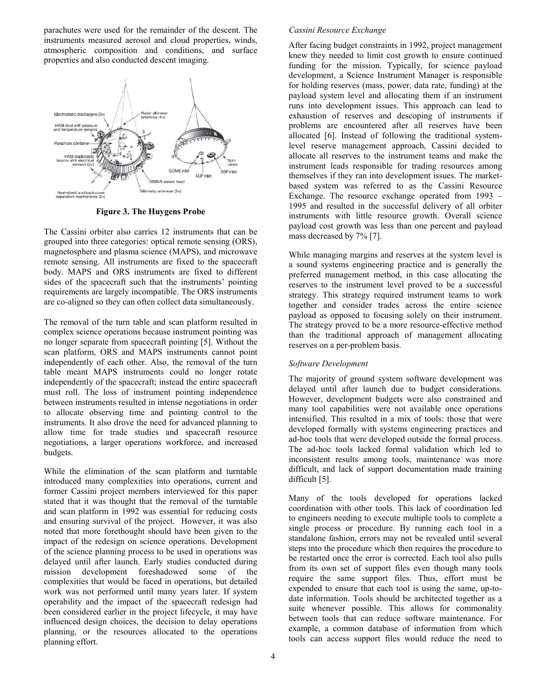parachutes were used for the remainder of the descent. The instruments measured aerosol and cloud properties, winds, atmospheric composition and conditions, and surface properties and also conducted descent imaging.



**Figure 3. The Huygens Probe**

<span id="page-3-0"></span>The Cassini orbiter also carries 12 instruments that can be grouped into three categories: optical remote sensing (ORS), magnetosphere and plasma science (MAPS), and microwave remote sensing. All instruments are fixed to the spacecraft body. MAPS and ORS instruments are fixed to different sides of the spacecraft such that the instruments' pointing requirements are largely incompatible. The ORS instruments are co-aligned so they can often collect data simultaneously.

The removal of the turn table and scan platform resulted in complex science operations because instrument pointing was no longer separate from spacecraft pointing [5]. Without the scan platform, ORS and MAPS instruments cannot point independently of each other. Also, the removal of the turn table meant MAPS instruments could no longer rotate independently of the spacecraft; instead the entire spacecraft must roll. The loss of instrument pointing independence between instruments resulted in intense negotiations in order to allocate observing time and pointing control to the instruments. It also drove the need for advanced planning to allow time for trade studies and spacecraft resource negotiations, a larger operations workforce, and increased budgets.

While the elimination of the scan platform and turntable introduced many complexities into operations, current and former Cassini project members interviewed for this paper stated that it was thought that the removal of the turntable and scan platform in 1992 was essential for reducing costs and ensuring survival of the project. However, it was also noted that more forethought should have been given to the impact of the redesign on science operations. Development of the science planning process to be used in operations was delayed until after launch. Early studies conducted during mission development foreshadowed some of the complexities that would be faced in operations, but detailed work was not performed until many years later. If system operability and the impact of the spacecraft redesign had been considered earlier in the project lifecycle, it may have influenced design choices, the decision to delay operations planning, or the resources allocated to the operations planning effort.

## *Cassini Resource Exchange*

After facing budget constraints in 1992, project management knew they needed to limit cost growth to ensure continued funding for the mission. Typically, for science payload development, a Science Instrument Manager is responsible for holding reserves (mass, power, data rate, funding) at the payload system level and allocating them if an instrument runs into development issues. This approach can lead to exhaustion of reserves and descoping of instruments if problems are encountered after all reserves have been allocated [6]. Instead of following the traditional systemlevel reserve management approach, Cassini decided to allocate all reserves to the instrument teams and make the instrument leads responsible for trading resources among themselves if they ran into development issues. The marketbased system was referred to as the Cassini Resource Exchange. The resource exchange operated from 1993 – 1995 and resulted in the successful delivery of all orbiter instruments with little resource growth. Overall science payload cost growth was less than one percent and payload mass decreased by 7% [7].

While managing margins and reserves at the system level is a sound systems engineering practice and is generally the preferred management method, in this case allocating the reserves to the instrument level proved to be a successful strategy. This strategy required instrument teams to work together and consider trades across the entire science payload as opposed to focusing solely on their instrument. The strategy proved to be a more resource-effective method than the traditional approach of management allocating reserves on a per-problem basis.

## *Software Development*

The majority of ground system software development was delayed until after launch due to budget considerations. However, development budgets were also constrained and many tool capabilities were not available once operations intensified. This resulted in a mix of tools: those that were developed formally with systems engineering practices and ad-hoc tools that were developed outside the formal process. The ad-hoc tools lacked formal validation which led to inconsistent results among tools, maintenance was more difficult, and lack of support documentation made training difficult [5].

Many of the tools developed for operations lacked coordination with other tools. This lack of coordination led to engineers needing to execute multiple tools to complete a single process or procedure. By running each tool in a standalone fashion, errors may not be revealed until several steps into the procedure which then requires the procedure to be restarted once the error is corrected. Each tool also pulls from its own set of support files even though many tools require the same support files. Thus, effort must be expended to ensure that each tool is using the same, up-todate information. Tools should be architected together as a suite whenever possible. This allows for commonality between tools that can reduce software maintenance. For example, a common database of information from which tools can access support files would reduce the need to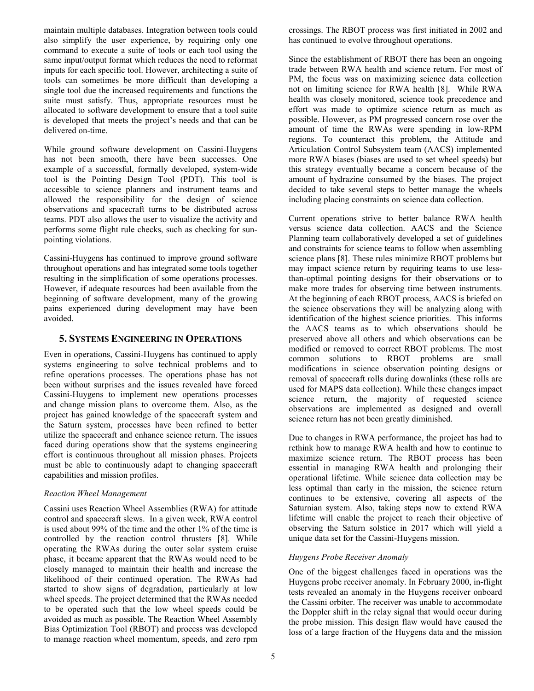maintain multiple databases. Integration between tools could also simplify the user experience, by requiring only one command to execute a suite of tools or each tool using the same input/output format which reduces the need to reformat inputs for each specific tool. However, architecting a suite of tools can sometimes be more difficult than developing a single tool due the increased requirements and functions the suite must satisfy. Thus, appropriate resources must be allocated to software development to ensure that a tool suite is developed that meets the project's needs and that can be delivered on-time.

While ground software development on Cassini-Huygens has not been smooth, there have been successes. One example of a successful, formally developed, system-wide tool is the Pointing Design Tool (PDT). This tool is accessible to science planners and instrument teams and allowed the responsibility for the design of science observations and spacecraft turns to be distributed across teams. PDT also allows the user to visualize the activity and performs some flight rule checks, such as checking for sunpointing violations.

Cassini-Huygens has continued to improve ground software throughout operations and has integrated some tools together resulting in the simplification of some operations processes. However, if adequate resources had been available from the beginning of software development, many of the growing pains experienced during development may have been avoided.

## <span id="page-4-0"></span>**5. SYSTEMS ENGINEERING IN OPERATIONS**

Even in operations, Cassini-Huygens has continued to apply systems engineering to solve technical problems and to refine operations processes. The operations phase has not been without surprises and the issues revealed have forced Cassini-Huygens to implement new operations processes and change mission plans to overcome them. Also, as the project has gained knowledge of the spacecraft system and the Saturn system, processes have been refined to better utilize the spacecraft and enhance science return. The issues faced during operations show that the systems engineering effort is continuous throughout all mission phases. Projects must be able to continuously adapt to changing spacecraft capabilities and mission profiles.

#### *Reaction Wheel Management*

Cassini uses Reaction Wheel Assemblies (RWA) for attitude control and spacecraft slews. In a given week, RWA control is used about 99% of the time and the other 1% of the time is controlled by the reaction control thrusters [8]. While operating the RWAs during the outer solar system cruise phase, it became apparent that the RWAs would need to be closely managed to maintain their health and increase the likelihood of their continued operation. The RWAs had started to show signs of degradation, particularly at low wheel speeds. The project determined that the RWAs needed to be operated such that the low wheel speeds could be avoided as much as possible. The Reaction Wheel Assembly Bias Optimization Tool (RBOT) and process was developed to manage reaction wheel momentum, speeds, and zero rpm

crossings. The RBOT process was first initiated in 2002 and has continued to evolve throughout operations.

Since the establishment of RBOT there has been an ongoing trade between RWA health and science return. For most of PM, the focus was on maximizing science data collection not on limiting science for RWA health [8]. While RWA health was closely monitored, science took precedence and effort was made to optimize science return as much as possible. However, as PM progressed concern rose over the amount of time the RWAs were spending in low-RPM regions. To counteract this problem, the Attitude and Articulation Control Subsystem team (AACS) implemented more RWA biases (biases are used to set wheel speeds) but this strategy eventually became a concern because of the amount of hydrazine consumed by the biases. The project decided to take several steps to better manage the wheels including placing constraints on science data collection.

Current operations strive to better balance RWA health versus science data collection. AACS and the Science Planning team collaboratively developed a set of guidelines and constraints for science teams to follow when assembling science plans [8]. These rules minimize RBOT problems but may impact science return by requiring teams to use lessthan-optimal pointing designs for their observations or to make more trades for observing time between instruments. At the beginning of each RBOT process, AACS is briefed on the science observations they will be analyzing along with identification of the highest science priorities. This informs the AACS teams as to which observations should be preserved above all others and which observations can be modified or removed to correct RBOT problems. The most common solutions to RBOT problems are small modifications in science observation pointing designs or removal of spacecraft rolls during downlinks (these rolls are used for MAPS data collection). While these changes impact science return, the majority of requested science observations are implemented as designed and overall science return has not been greatly diminished.

Due to changes in RWA performance, the project has had to rethink how to manage RWA health and how to continue to maximize science return. The RBOT process has been essential in managing RWA health and prolonging their operational lifetime. While science data collection may be less optimal than early in the mission, the science return continues to be extensive, covering all aspects of the Saturnian system. Also, taking steps now to extend RWA lifetime will enable the project to reach their objective of observing the Saturn solstice in 2017 which will yield a unique data set for the Cassini-Huygens mission.

#### *Huygens Probe Receiver Anomaly*

One of the biggest challenges faced in operations was the Huygens probe receiver anomaly. In February 2000, in-flight tests revealed an anomaly in the Huygens receiver onboard the Cassini orbiter. The receiver was unable to accommodate the Doppler shift in the relay signal that would occur during the probe mission. This design flaw would have caused the loss of a large fraction of the Huygens data and the mission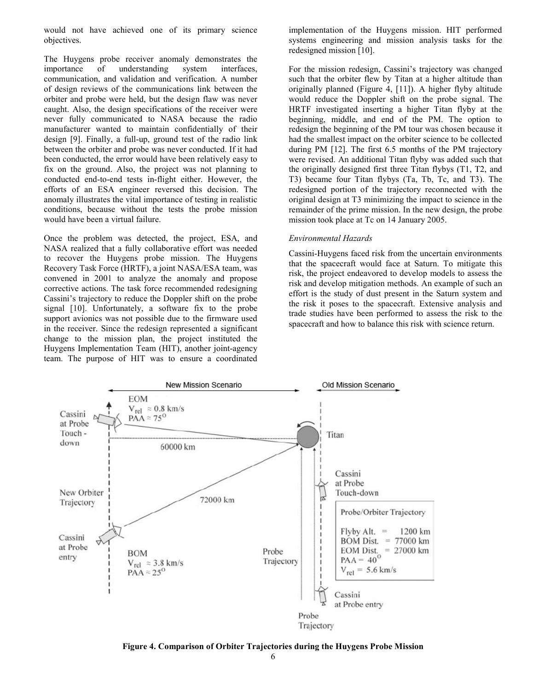would not have achieved one of its primary science objectives.

The Huygens probe receiver anomaly demonstrates the importance of understanding system interfaces, communication, and validation and verification. A number of design reviews of the communications link between the orbiter and probe were held, but the design flaw was never caught. Also, the design specifications of the receiver were never fully communicated to NASA because the radio manufacturer wanted to maintain confidentially of their design [9]. Finally, a full-up, ground test of the radio link between the orbiter and probe was never conducted. If it had been conducted, the error would have been relatively easy to fix on the ground. Also, the project was not planning to conducted end-to-end tests in-flight either. However, the efforts of an ESA engineer reversed this decision. The anomaly illustrates the vital importance of testing in realistic conditions, because without the tests the probe mission would have been a virtual failure.

Once the problem was detected, the project, ESA, and NASA realized that a fully collaborative effort was needed to recover the Huygens probe mission. The Huygens Recovery Task Force (HRTF), a joint NASA/ESA team, was convened in 2001 to analyze the anomaly and propose corrective actions. The task force recommended redesigning Cassini's trajectory to reduce the Doppler shift on the probe signal [10]. Unfortunately, a software fix to the probe support avionics was not possible due to the firmware used in the receiver. Since the redesign represented a significant change to the mission plan, the project instituted the Huygens Implementation Team (HIT), another joint-agency team. The purpose of HIT was to ensure a coordinated implementation of the Huygens mission. HIT performed systems engineering and mission analysis tasks for the redesigned mission [10].

For the mission redesign, Cassini's trajectory was changed such that the orbiter flew by Titan at a higher altitude than originally planned [\(Figure 4,](#page-5-0) [11]). A higher flyby altitude would reduce the Doppler shift on the probe signal. The HRTF investigated inserting a higher Titan flyby at the beginning, middle, and end of the PM. The option to redesign the beginning of the PM tour was chosen because it had the smallest impact on the orbiter science to be collected during PM [12]. The first 6.5 months of the PM trajectory were revised. An additional Titan flyby was added such that the originally designed first three Titan flybys (T1, T2, and T3) became four Titan flybys (Ta, Tb, Tc, and T3). The redesigned portion of the trajectory reconnected with the original design at T3 minimizing the impact to science in the remainder of the prime mission. In the new design, the probe mission took place at Tc on 14 January 2005.

#### *Environmental Hazards*

Cassini-Huygens faced risk from the uncertain environments that the spacecraft would face at Saturn. To mitigate this risk, the project endeavored to develop models to assess the risk and develop mitigation methods. An example of such an effort is the study of dust present in the Saturn system and the risk it poses to the spacecraft. Extensive analysis and trade studies have been performed to assess the risk to the spacecraft and how to balance this risk with science return.



<span id="page-5-0"></span>**Figure 4. Comparison of Orbiter Trajectories during the Huygens Probe Mission**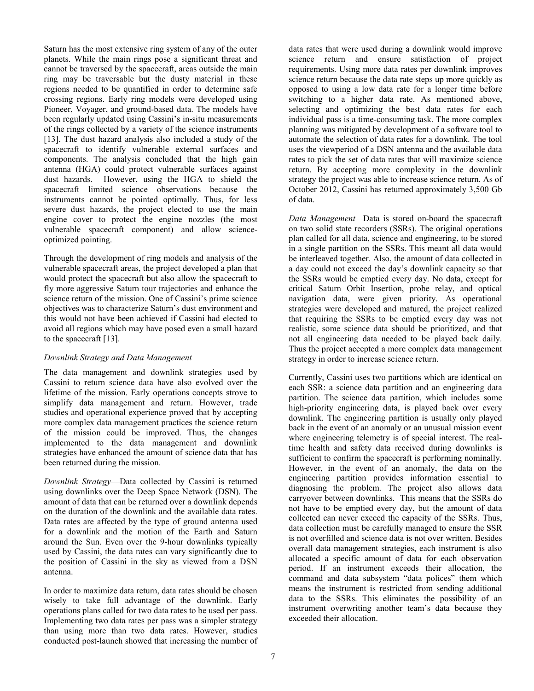Saturn has the most extensive ring system of any of the outer planets. While the main rings pose a significant threat and cannot be traversed by the spacecraft, areas outside the main ring may be traversable but the dusty material in these regions needed to be quantified in order to determine safe crossing regions. Early ring models were developed using Pioneer, Voyager, and ground-based data. The models have been regularly updated using Cassini's in-situ measurements of the rings collected by a variety of the science instruments [13]. The dust hazard analysis also included a study of the spacecraft to identify vulnerable external surfaces and components. The analysis concluded that the high gain antenna (HGA) could protect vulnerable surfaces against dust hazards. However, using the HGA to shield the spacecraft limited science observations because the instruments cannot be pointed optimally. Thus, for less severe dust hazards, the project elected to use the main engine cover to protect the engine nozzles (the most vulnerable spacecraft component) and allow scienceoptimized pointing.

Through the development of ring models and analysis of the vulnerable spacecraft areas, the project developed a plan that would protect the spacecraft but also allow the spacecraft to fly more aggressive Saturn tour trajectories and enhance the science return of the mission. One of Cassini's prime science objectives was to characterize Saturn's dust environment and this would not have been achieved if Cassini had elected to avoid all regions which may have posed even a small hazard to the spacecraft [13].

## *Downlink Strategy and Data Management*

The data management and downlink strategies used by Cassini to return science data have also evolved over the lifetime of the mission. Early operations concepts strove to simplify data management and return. However, trade studies and operational experience proved that by accepting more complex data management practices the science return of the mission could be improved. Thus, the changes implemented to the data management and downlink strategies have enhanced the amount of science data that has been returned during the mission.

*Downlink Strategy*—Data collected by Cassini is returned using downlinks over the Deep Space Network (DSN). The amount of data that can be returned over a downlink depends on the duration of the downlink and the available data rates. Data rates are affected by the type of ground antenna used for a downlink and the motion of the Earth and Saturn around the Sun. Even over the 9-hour downlinks typically used by Cassini, the data rates can vary significantly due to the position of Cassini in the sky as viewed from a DSN antenna.

In order to maximize data return, data rates should be chosen wisely to take full advantage of the downlink. Early operations plans called for two data rates to be used per pass. Implementing two data rates per pass was a simpler strategy than using more than two data rates. However, studies conducted post-launch showed that increasing the number of data rates that were used during a downlink would improve science return and ensure satisfaction of project requirements. Using more data rates per downlink improves science return because the data rate steps up more quickly as opposed to using a low data rate for a longer time before switching to a higher data rate. As mentioned above, selecting and optimizing the best data rates for each individual pass is a time-consuming task. The more complex planning was mitigated by development of a software tool to automate the selection of data rates for a downlink. The tool uses the viewperiod of a DSN antenna and the available data rates to pick the set of data rates that will maximize science return. By accepting more complexity in the downlink strategy the project was able to increase science return. As of October 2012, Cassini has returned approximately 3,500 Gb of data.

*Data Management—*Data is stored on-board the spacecraft on two solid state recorders (SSRs). The original operations plan called for all data, science and engineering, to be stored in a single partition on the SSRs. This meant all data would be interleaved together. Also, the amount of data collected in a day could not exceed the day's downlink capacity so that the SSRs would be emptied every day. No data, except for critical Saturn Orbit Insertion, probe relay, and optical navigation data, were given priority. As operational strategies were developed and matured, the project realized that requiring the SSRs to be emptied every day was not realistic, some science data should be prioritized, and that not all engineering data needed to be played back daily. Thus the project accepted a more complex data management strategy in order to increase science return.

Currently, Cassini uses two partitions which are identical on each SSR: a science data partition and an engineering data partition. The science data partition, which includes some high-priority engineering data, is played back over every downlink. The engineering partition is usually only played back in the event of an anomaly or an unusual mission event where engineering telemetry is of special interest. The realtime health and safety data received during downlinks is sufficient to confirm the spacecraft is performing nominally. However, in the event of an anomaly, the data on the engineering partition provides information essential to diagnosing the problem. The project also allows data carryover between downlinks. This means that the SSRs do not have to be emptied every day, but the amount of data collected can never exceed the capacity of the SSRs. Thus, data collection must be carefully managed to ensure the SSR is not overfilled and science data is not over written. Besides overall data management strategies, each instrument is also allocated a specific amount of data for each observation period. If an instrument exceeds their allocation, the command and data subsystem "data polices" them which means the instrument is restricted from sending additional data to the SSRs. This eliminates the possibility of an instrument overwriting another team's data because they exceeded their allocation.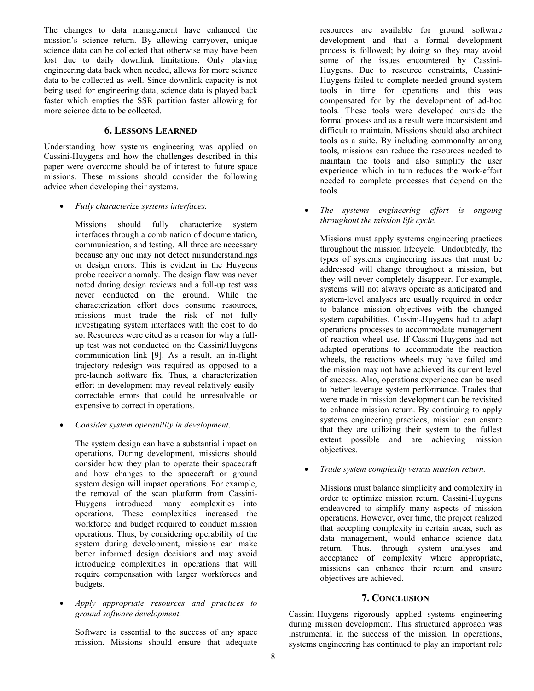The changes to data management have enhanced the mission's science return. By allowing carryover, unique science data can be collected that otherwise may have been lost due to daily downlink limitations. Only playing engineering data back when needed, allows for more science data to be collected as well. Since downlink capacity is not being used for engineering data, science data is played back faster which empties the SSR partition faster allowing for more science data to be collected.

# **6. LESSONS LEARNED**

<span id="page-7-0"></span>Understanding how systems engineering was applied on Cassini-Huygens and how the challenges described in this paper were overcome should be of interest to future space missions. These missions should consider the following advice when developing their systems.

• *Fully characterize systems interfaces.*

Missions should fully characterize system interfaces through a combination of documentation, communication, and testing. All three are necessary because any one may not detect misunderstandings or design errors. This is evident in the Huygens probe receiver anomaly. The design flaw was never noted during design reviews and a full-up test was never conducted on the ground. While the characterization effort does consume resources, missions must trade the risk of not fully investigating system interfaces with the cost to do so. Resources were cited as a reason for why a fullup test was not conducted on the Cassini/Huygens communication link [9]. As a result, an in-flight trajectory redesign was required as opposed to a pre-launch software fix. Thus, a characterization effort in development may reveal relatively easilycorrectable errors that could be unresolvable or expensive to correct in operations.

• *Consider system operability in development*.

The system design can have a substantial impact on operations. During development, missions should consider how they plan to operate their spacecraft and how changes to the spacecraft or ground system design will impact operations. For example, the removal of the scan platform from Cassini-Huygens introduced many complexities into operations. These complexities increased the workforce and budget required to conduct mission operations. Thus, by considering operability of the system during development, missions can make better informed design decisions and may avoid introducing complexities in operations that will require compensation with larger workforces and budgets.

• *Apply appropriate resources and practices to ground software development*.

Software is essential to the success of any space mission. Missions should ensure that adequate

resources are available for ground software development and that a formal development process is followed; by doing so they may avoid some of the issues encountered by Cassini-Huygens. Due to resource constraints, Cassini-Huygens failed to complete needed ground system tools in time for operations and this was compensated for by the development of ad-hoc tools. These tools were developed outside the formal process and as a result were inconsistent and difficult to maintain. Missions should also architect tools as a suite. By including commonalty among tools, missions can reduce the resources needed to maintain the tools and also simplify the user experience which in turn reduces the work-effort needed to complete processes that depend on the tools.

• *The systems engineering effort is ongoing throughout the mission life cycle.*

Missions must apply systems engineering practices throughout the mission lifecycle. Undoubtedly, the types of systems engineering issues that must be addressed will change throughout a mission, but they will never completely disappear. For example, systems will not always operate as anticipated and system-level analyses are usually required in order to balance mission objectives with the changed system capabilities. Cassini-Huygens had to adapt operations processes to accommodate management of reaction wheel use. If Cassini-Huygens had not adapted operations to accommodate the reaction wheels, the reactions wheels may have failed and the mission may not have achieved its current level of success. Also, operations experience can be used to better leverage system performance. Trades that were made in mission development can be revisited to enhance mission return. By continuing to apply systems engineering practices, mission can ensure that they are utilizing their system to the fullest extent possible and are achieving mission objectives.

• *Trade system complexity versus mission return.*

Missions must balance simplicity and complexity in order to optimize mission return. Cassini-Huygens endeavored to simplify many aspects of mission operations. However, over time, the project realized that accepting complexity in certain areas, such as data management, would enhance science data return. Thus, through system analyses and acceptance of complexity where appropriate, missions can enhance their return and ensure objectives are achieved.

# **7. CONCLUSION**

<span id="page-7-1"></span>Cassini-Huygens rigorously applied systems engineering during mission development. This structured approach was instrumental in the success of the mission. In operations, systems engineering has continued to play an important role